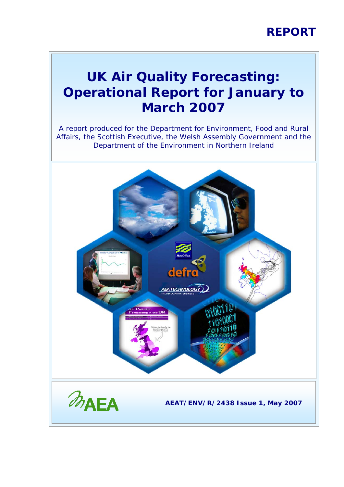## **REPORT**

## **UK Air Quality Forecasting: Operational Report for January to March 2007**

A report produced for the Department for Environment, Food and Rural Affairs, the Scottish Executive, the Welsh Assembly Government and the Department of the Environment in Northern Ireland

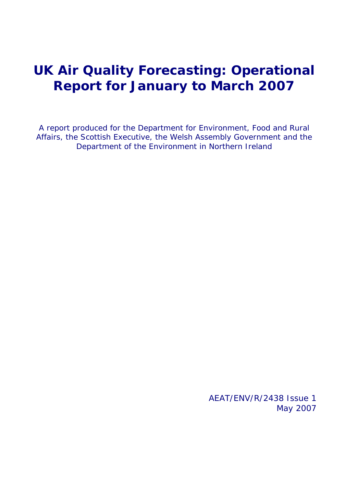## **UK Air Quality Forecasting: Operational Report for January to March 2007**

A report produced for the Department for Environment, Food and Rural Affairs, the Scottish Executive, the Welsh Assembly Government and the Department of the Environment in Northern Ireland

> AEAT/ENV/R/2438 Issue 1 May 2007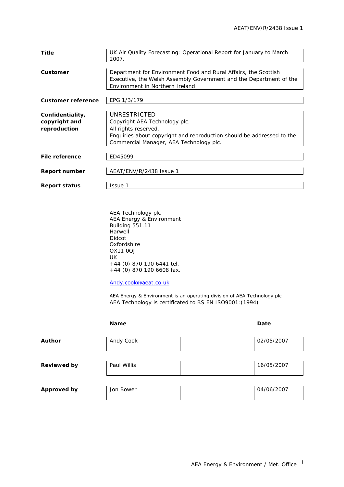| Title                                             | UK Air Quality Forecasting: Operational Report for January to March<br>2007.                                                                                                              |
|---------------------------------------------------|-------------------------------------------------------------------------------------------------------------------------------------------------------------------------------------------|
| Customer                                          | Department for Environment Food and Rural Affairs, the Scottish<br>Executive, the Welsh Assembly Government and the Department of the<br>Environment in Northern Ireland                  |
| <b>Customer reference</b>                         | EPG 1/3/179                                                                                                                                                                               |
| Confidentiality,<br>copyright and<br>reproduction | UNRESTRICTED<br>Copyright AEA Technology plc.<br>All rights reserved.<br>Enquiries about copyright and reproduction should be addressed to the<br>Commercial Manager, AEA Technology plc. |
| File reference                                    | ED45099                                                                                                                                                                                   |
| Report number                                     | AEAT/ENV/R/2438 Issue 1                                                                                                                                                                   |
| <b>Report status</b>                              | Issue 1                                                                                                                                                                                   |

AEA Technology plc AEA Energy & Environment Building 551.11 Harwell Didcot Oxfordshire OX11 0QJ UK +44 (0) 870 190 6441 tel. +44 (0) 870 190 6608 fax.

#### [Andy.cook@aeat.co.uk](mailto:Jaume.targa@aeat.co.uk)

AEA Energy & Environment is an operating division of AEA Technology plc AEA Technology is certificated to BS EN ISO9001:(1994)

|                    | <b>Name</b> | Date       |
|--------------------|-------------|------------|
| <b>Author</b>      | Andy Cook   | 02/05/2007 |
| <b>Reviewed by</b> | Paul Willis | 16/05/2007 |
| <b>Approved by</b> | Jon Bower   | 04/06/2007 |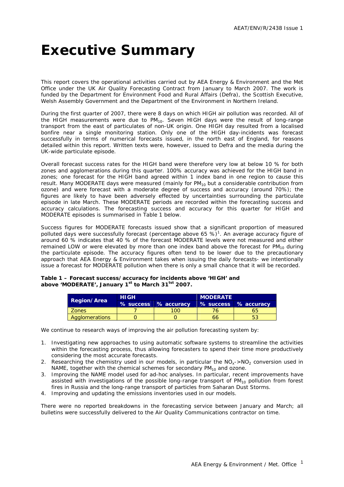# <span id="page-3-0"></span>**Executive Summary**

This report covers the operational activities carried out by AEA Energy & Environment and the Met Office under the UK Air Quality Forecasting Contract from January to March 2007. The work is funded by the Department for Environment Food and Rural Affairs (Defra), the Scottish Executive, Welsh Assembly Government and the Department of the Environment in Northern Ireland.

During the first quarter of 2007, there were 8 days on which HIGH air pollution was recorded. All of the HIGH measurements were due to  $PM_{10}$ . Seven HIGH days were the result of long-range transport from the east of particulates of non-UK origin. One HIGH day resulted from a localised bonfire near a single monitoring station. Only one of the HIGH day-incidents was forecast successfully in terms of numerical forecasts issued, in the north east of England, for reasons detailed within this report. Written texts were, however, issued to Defra and the media during the UK-wide particulate episode.

Overall forecast success rates for the HIGH band were therefore very low at below 10 % for both zones and agglomerations during this quarter. 100% accuracy was achieved for the HIGH band in zones; one forecast for the HIGH band agreed within 1 index band in one region to cause this result. Many MODERATE days were measured (mainly for  $PM_{10}$  but a considerable contribution from ozone) and were forecast with a moderate degree of success and accuracy (around 70%); the figures are likely to have been adversely effected by uncertainties surrounding the particulate episode in late March. These MODERATE periods are recorded within the forecasting success and accuracy calculations. The forecasting success and accuracy for this quarter for HIGH and MODERATE episodes is summarised in Table 1 below.

Success figures for MODERATE forecasts issued show that a significant proportion of measured polluted days were successfully forecast (percentage above 65 %)<sup>1</sup>. An average accuracy figure of around 60 % indicates that 40 % of the forecast MODERATE levels were not measured and either remained LOW or were elevated by more than one index band above the forecast for  $PM_{10}$  during the particulate episode. The accuracy figures often tend to be lower due to the precautionary approach that AEA Energy & Environment takes when issuing the daily forecasts- we intentionally issue a forecast for MODERATE pollution when there is only a small chance that it will be recorded.

#### **Table 1 – Forecast success/accuracy for incidents above 'HIGH' and**  above 'MODERATE', January 1<sup>st</sup> to March 31<sup>tst</sup> 2007.

|                    | <b>HIGH</b> |                      | <b>MODERATE</b> |                      |  |  |  |
|--------------------|-------------|----------------------|-----------------|----------------------|--|--|--|
| <b>Region/Area</b> |             | % success % accuracy |                 | % success % accuracy |  |  |  |
| <b>Zones</b>       |             | <sup>00</sup>        |                 | 65                   |  |  |  |
| Agglomerations     |             |                      | 66              |                      |  |  |  |

We continue to research ways of improving the air pollution forecasting system by:

- 1. Investigating new approaches to using automatic software systems to streamline the activities within the forecasting process, thus allowing forecasters to spend their time more productively considering the most accurate forecasts.
- 2. Researching the chemistry used in our models, in particular the  $NO<sub>x</sub>$  >NO<sub>2</sub> conversion used in NAME, together with the chemical schemes for secondary  $PM_{10}$  and ozone.
- 3. Improving the NAME model used for ad-hoc analyses. In particular, recent improvements have assisted with investigations of the possible long-range transport of  $PM_{10}$  pollution from forest fires in Russia and the long-range transport of particles from Saharan Dust Storms.
- 4. Improving and updating the emissions inventories used in our models.

There were no reported breakdowns in the forecasting service between January and March; all bulletins were successfully delivered to the Air Quality Communications contractor on time.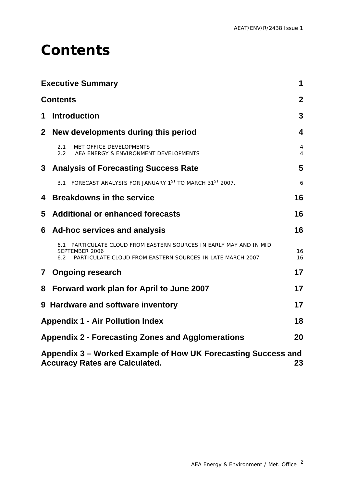# <span id="page-4-0"></span>**Contents**

|   | <b>Executive Summary</b>                                                                                                                                    | 1              |
|---|-------------------------------------------------------------------------------------------------------------------------------------------------------------|----------------|
|   | <b>Contents</b>                                                                                                                                             | $\overline{2}$ |
| 1 | <b>Introduction</b>                                                                                                                                         | 3              |
|   | 2 New developments during this period                                                                                                                       | 4              |
|   | MET OFFICE DEVELOPMENTS<br>2.1<br>$2.2^{\circ}$<br>AEA ENERGY & ENVIRONMENT DEVELOPMENTS                                                                    | 4<br>4         |
|   | 3 Analysis of Forecasting Success Rate                                                                                                                      | 5              |
|   | FORECAST ANALYSIS FOR JANUARY 1ST TO MARCH 31ST 2007.<br>3.1                                                                                                | 6              |
| 4 | <b>Breakdowns in the service</b>                                                                                                                            | 16             |
| 5 | <b>Additional or enhanced forecasts</b>                                                                                                                     | 16             |
| 6 | Ad-hoc services and analysis                                                                                                                                | 16             |
|   | PARTICULATE CLOUD FROM EASTERN SOURCES IN EARLY MAY AND IN MID<br>6.1<br>SEPTEMBER 2006<br>PARTICULATE CLOUD FROM EASTERN SOURCES IN LATE MARCH 2007<br>6.2 | 16<br>16       |
|   | 7 Ongoing research                                                                                                                                          | 17             |
| 8 | Forward work plan for April to June 2007                                                                                                                    | 17             |
|   | 9 Hardware and software inventory                                                                                                                           | 17             |
|   | <b>Appendix 1 - Air Pollution Index</b>                                                                                                                     | 18             |
|   | <b>Appendix 2 - Forecasting Zones and Agglomerations</b>                                                                                                    | 20             |
|   | Appendix 3 – Worked Example of How UK Forecasting Success and<br><b>Accuracy Rates are Calculated.</b>                                                      | 23             |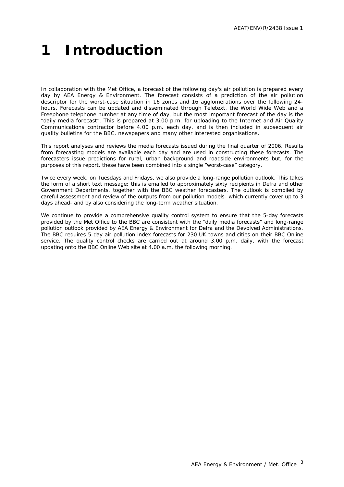# <span id="page-5-0"></span>**1 Introduction**

In collaboration with the Met Office, a forecast of the following day's air pollution is prepared every day by AEA Energy & Environment. The forecast consists of a prediction of the air pollution descriptor for the worst-case situation in 16 zones and 16 agglomerations over the following 24 hours. Forecasts can be updated and disseminated through Teletext, the World Wide Web and a Freephone telephone number at any time of day, but the most important forecast of the day is the "daily media forecast". This is prepared at 3.00 p.m. for uploading to the Internet and Air Quality Communications contractor before 4.00 p.m. each day, and is then included in subsequent air quality bulletins for the BBC, newspapers and many other interested organisations.

This report analyses and reviews the media forecasts issued during the final quarter of 2006. Results from forecasting models are available each day and are used in constructing these forecasts. The forecasters issue predictions for rural, urban background and roadside environments but, for the purposes of this report, these have been combined into a single "worst-case" category.

Twice every week, on Tuesdays and Fridays, we also provide a long-range pollution outlook. This takes the form of a short text message; this is emailed to approximately sixty recipients in Defra and other Government Departments, together with the BBC weather forecasters. The outlook is compiled by careful assessment and review of the outputs from our pollution models- which currently cover up to 3 days ahead- and by also considering the long-term weather situation.

We continue to provide a comprehensive quality control system to ensure that the 5-day forecasts provided by the Met Office to the BBC are consistent with the "daily media forecasts" and long-range pollution outlook provided by AEA Energy & Environment for Defra and the Devolved Administrations. The BBC requires 5-day air pollution index forecasts for 230 UK towns and cities on their BBC Online service. The quality control checks are carried out at around 3.00 p.m. daily, with the forecast updating onto the BBC Online Web site at 4.00 a.m. the following morning.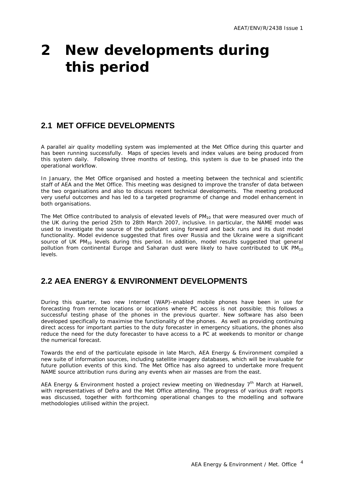# <span id="page-6-0"></span>**2 New developments during this period**

### **2.1 MET OFFICE DEVELOPMENTS**

A parallel air quality modelling system was implemented at the Met Office during this quarter and has been running successfully. Maps of species levels and index values are being produced from this system daily. Following three months of testing, this system is due to be phased into the operational workflow.

In January, the Met Office organised and hosted a meeting between the technical and scientific staff of AEA and the Met Office. This meeting was designed to improve the transfer of data between the two organisations and also to discuss recent technical developments. The meeting produced very useful outcomes and has led to a targeted programme of change and model enhancement in both organisations.

The Met Office contributed to analysis of elevated levels of  $PM_{10}$  that were measured over much of the UK during the period 25th to 28th March 2007, inclusive. In particular, the NAME model was used to investigate the source of the pollutant using forward and back runs and its dust model functionality. Model evidence suggested that fires over Russia and the Ukraine were a significant source of UK  $PM_{10}$  levels during this period. In addition, model results suggested that general pollution from continental Europe and Saharan dust were likely to have contributed to UK  $PM_{10}$ levels.

### **2.2 AEA ENERGY & ENVIRONMENT DEVELOPMENTS**

During this quarter, two new Internet (WAP)-enabled mobile phones have been in use for forecasting from remote locations or locations where PC access is not possible; this follows a successful testing phase of the phones in the previous quarter. New software has also been developed specifically to maximise the functionality of the phones. As well as providing continuing direct access for important parties to the duty forecaster in emergency situations, the phones also reduce the need for the duty forecaster to have access to a PC at weekends to monitor or change the numerical forecast.

Towards the end of the particulate episode in late March, AEA Energy & Environment compiled a new suite of information sources, including satellite imagery databases, which will be invaluable for future pollution events of this kind. The Met Office has also agreed to undertake more frequent NAME source attribution runs during any events when air masses are from the east.

AEA Energy & Environment hosted a project review meeting on Wednesday 7<sup>th</sup> March at Harwell, with representatives of Defra and the Met Office attending. The progress of various draft reports was discussed, together with forthcoming operational changes to the modelling and software methodologies utilised within the project.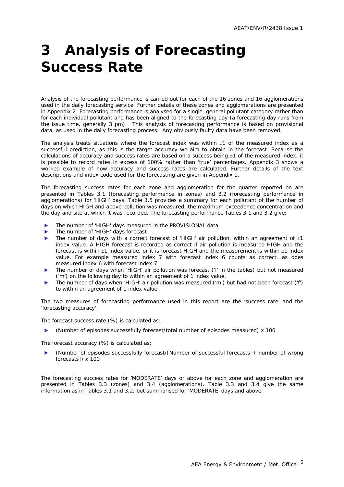# <span id="page-7-0"></span>**3 Analysis of Forecasting Success Rate**

Analysis of the forecasting performance is carried out for each of the 16 zones and 16 agglomerations used in the daily forecasting service. Further details of these zones and agglomerations are presented in Appendix 2. Forecasting performance is analysed for a single, general pollutant category rather than for each individual pollutant and has been aligned to the forecasting day (a forecasting day runs from the issue time, generally 3 pm). This analysis of forecasting performance is based on provisional data, as used in the daily forecasting process. Any obviously faulty data have been removed.

The analysis treats situations where the forecast index was within  $\pm 1$  of the measured index as a successful prediction, as this is the target accuracy we aim to obtain in the forecast. Because the calculations of accuracy and success rates are based on a success being  $\pm 1$  of the measured index, it is possible to record rates in excess of 100% rather than 'true' percentages. Appendix 3 shows a worked example of how accuracy and success rates are calculated. Further details of the text descriptions and index code used for the forecasting are given in Appendix 1.

The forecasting success rates for each zone and agglomeration for the quarter reported on are presented in Tables 3.1 (forecasting performance in zones) and 3.2 (forecasting performance in agglomerations) for 'HIGH' days. Table 3.5 provides a summary for each pollutant of the number of days on which HIGH and above pollution was measured, the maximum exceedence concentration and the day and site at which it was recorded. The forecasting performance Tables 3.1 and 3.2 give:

- The number of 'HIGH' days measured in the PROVISIONAL data
- The number of 'HIGH' days forecast
- The number of days with a correct forecast of 'HIGH' air pollution, within an agreement of  $\pm 1$ index value. A HIGH forecast is recorded as correct if air pollution is measured HIGH and the forecast is within  $\pm 1$  index value, or it is forecast HIGH and the measurement is within  $\pm 1$  index value. For example measured index 7 with forecast index 6 counts as correct, as does measured index 6 with forecast index 7.
- The number of days when 'HIGH' air pollution was forecast ('f' in the tables) but not measured ('m') on the following day to within an agreement of 1 index value.
- The number of days when 'HIGH' air pollution was measured ('m') but had not been forecast ('f') to within an agreement of 1 index value.

The two measures of forecasting performance used in this report are the 'success rate' and the 'forecasting accuracy'.

The forecast success rate (%) is calculated as:

(Number of episodes successfully forecast/total number of episodes measured)  $\times$  100

The forecast accuracy (%) is calculated as:

(Number of episodes successfully forecast/[Number of successful forecasts + number of wrong forecasts]) x 100

The forecasting success rates for 'MODERATE' days or above for each zone and agglomeration are presented in Tables 3.3 (zones) and 3.4 (agglomerations). Table 3.3 and 3.4 give the same information as in Tables 3.1 and 3.2, but summarised for 'MODERATE' days and above.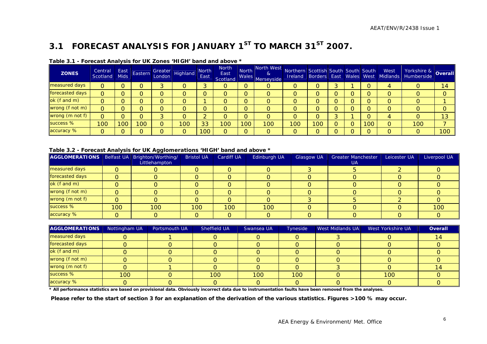## **3.1 FORECAST ANALYSIS FOR JANUARY 1ST TO MARCH 31ST 2007.**

| <b>ZONES</b>    | Central<br><b>Scotland</b> | East<br><b>Mids</b> | Eastern | Greater<br>London Highland | <b>North</b><br>East | <b>North</b><br>East<br>Scotland | North<br><b>Wales</b> | North West<br>8 <sub>l</sub><br>Merseyside | Northern Scottish South South South |     |  |     | West | Yorkshire & Overall<br>Ireland Borders East Wales West Midlands Humberside |                  |
|-----------------|----------------------------|---------------------|---------|----------------------------|----------------------|----------------------------------|-----------------------|--------------------------------------------|-------------------------------------|-----|--|-----|------|----------------------------------------------------------------------------|------------------|
| measured days   | 0                          |                     |         |                            |                      | O                                | $\Omega$              | O                                          |                                     |     |  |     |      |                                                                            | 14               |
| forecasted days | O                          |                     |         |                            |                      | 0                                | O                     | O                                          |                                     |     |  |     |      |                                                                            |                  |
| ok (f and m)    | 0                          |                     |         |                            |                      | 0                                | O                     | O                                          |                                     |     |  |     |      |                                                                            |                  |
| wrong (f not m) | 0                          |                     |         |                            |                      |                                  | O                     |                                            |                                     |     |  |     |      |                                                                            |                  |
| wrong (m not f) | $\overline{O}$             |                     |         |                            |                      | O                                | O                     | O                                          |                                     |     |  |     |      |                                                                            | 13               |
| success %       | 100                        | 100                 | 00      | 100                        | 33                   | 100                              | 100                   | 100                                        | 100                                 | 100 |  | 100 |      | 100                                                                        |                  |
| accuracy %      | 0                          |                     |         |                            | 100                  |                                  | $\Omega$              | O                                          | ∩                                   |     |  |     |      | 0                                                                          | 100 <sup>1</sup> |

#### **Table 3.1 - Forecast Analysis for UK Zones 'HIGH' band and above \***

#### **Table 3.2 - Forecast Analysis for UK Agglomerations 'HIGH' band and above \***

| AGGLOMERATIONS   Belfast UA   Brighton/Worthing/ |     | ---<br>Littlehampton | <b>Bristol UA</b> | <b>Cardiff UA</b> | Edinburgh UA | <b>Glasgow UA</b> | <b>Greater Manchester</b><br><b>UA</b> | Leicester UA | Liverpool UA |
|--------------------------------------------------|-----|----------------------|-------------------|-------------------|--------------|-------------------|----------------------------------------|--------------|--------------|
| measured days                                    | O   |                      |                   |                   |              |                   |                                        |              |              |
| forecasted days                                  | 0   |                      |                   |                   |              |                   |                                        |              |              |
| ok (f and m)                                     | O   |                      |                   |                   |              |                   |                                        |              |              |
| wrong (f not m)                                  | O   |                      |                   |                   |              |                   |                                        |              |              |
| wrong (m not f)                                  | 0   |                      |                   |                   |              |                   |                                        |              |              |
| success %                                        | 100 | 100                  | 100               | 100               | 100          |                   |                                        |              | 100          |
| accuracy %                                       |     |                      |                   |                   |              |                   |                                        |              |              |

| <b>AGGLOMERATIONS</b> | Nottingham UA | Portsmouth UA | Sheffield UA | Swansea UA | Tyneside | West Midlands UA | West Yorkshire UA | Overall |
|-----------------------|---------------|---------------|--------------|------------|----------|------------------|-------------------|---------|
| measured days         |               |               |              |            |          |                  |                   |         |
| forecasted days       |               |               |              |            |          |                  |                   |         |
| ok (f and m)          |               |               |              |            |          |                  |                   |         |
| wrong (f not m)       |               |               |              |            |          |                  |                   |         |
| wrong (m not f)       |               |               |              |            |          |                  |                   |         |
| success %             | 100           |               | 100          | 100        | 100      |                  | 100               |         |
| accuracy %            |               |               |              |            |          |                  |                   |         |

**\* All performance statistics are based on provisional data. Obviously incorrect data due to instrumentation faults have been removed from the analyses.** 

<span id="page-8-0"></span> **Please refer to the start of section 3 for an explanation of the derivation of the various statistics. Figures >100 % may occur.**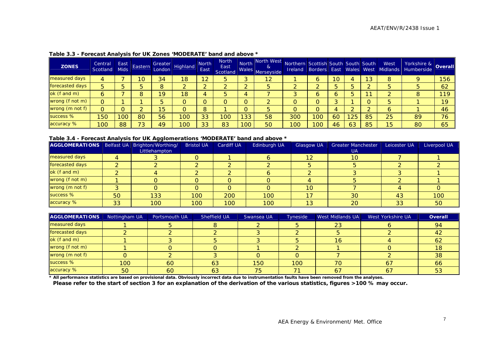| <b>ZONES</b>    | Central<br>Scotland | East<br><b>Mids</b> | Eastern | London | Greater Highland | <b>North</b><br>East | <b>North</b><br>East<br>Scotland | <b>North</b><br>Wales | North West<br>&<br>Merseyside | Northern Scottish South South South |     |    |    |     | West<br><b>Ireland Borders East Wales West Midlands</b> | Yorkshire & Overall<br>Humberside |     |
|-----------------|---------------------|---------------------|---------|--------|------------------|----------------------|----------------------------------|-----------------------|-------------------------------|-------------------------------------|-----|----|----|-----|---------------------------------------------------------|-----------------------------------|-----|
| measured days   | 4                   |                     | 10      | 34     | 18               | 12                   | 5                                |                       | 12                            |                                     | 6   | 10 |    | 13  | 8                                                       |                                   | 156 |
| forecasted days | 5                   |                     |         |        |                  |                      |                                  |                       | 5.                            |                                     |     |    |    |     |                                                         |                                   | 62  |
| ok (f and m)    |                     |                     |         | 19     | 18               |                      | 5                                | 4                     |                               |                                     | 0   |    |    | - - |                                                         | 8                                 | 119 |
| wrong (f not m) | 0                   |                     |         |        |                  |                      |                                  |                       |                               |                                     |     |    |    |     |                                                         |                                   | 19  |
| wrong (m not f) | 0                   |                     |         | 15     |                  |                      |                                  |                       | 5                             |                                     |     |    |    |     | O                                                       |                                   | 46  |
| success %       | 150                 | 100                 | 80      | 56     | 100              | 33                   | 100                              | 33                    | 58                            | 300                                 | 100 | 60 | 25 | 85  | 25                                                      | 89                                | 76  |
| accuracy %      | 100                 | 88                  | 73      | 49     | '00              | 33                   | 83                               | 100                   | 50                            | 100                                 | 100 | 46 | 63 | 85  | 15                                                      | 80                                | 65  |

#### **Table 3.3 - Forecast Analysis for UK Zones 'MODERATE' band and above \***

#### **Table 3.4 - Forecast Analysis for UK Agglomerations 'MODERATE' band and above \***

| AGGLOMERATIONS   Belfast UA   Brighton/Worthing/ |    |               | <b>Bristol UA</b> | <b>Cardiff UA</b> | Edinburgh UA | <b>Glasgow UA</b> | <b>Greater Manchester</b> | Leicester UA | Liverpool UA |
|--------------------------------------------------|----|---------------|-------------------|-------------------|--------------|-------------------|---------------------------|--------------|--------------|
|                                                  |    | Littlehampton |                   |                   |              |                   | UA.                       |              |              |
| measured days                                    |    |               |                   |                   |              | 12                | 10                        |              |              |
| forecasted days                                  |    |               |                   |                   |              |                   |                           |              |              |
| ok (f and m)                                     |    |               |                   |                   |              |                   |                           |              |              |
| wrong (f not m)                                  |    |               |                   |                   |              |                   |                           |              |              |
| wrong (m not f)                                  |    |               |                   |                   |              | 10                |                           |              |              |
| success %                                        | 50 | 133           | 100               | 200               | 100          | 17                | 30                        | 43           | 100          |
| accuracy %                                       | 33 | 100           | 100               | 100               | 100          | 13                | 20                        | 33           | 50           |

| AGGLOMERATIONS  | Nottingham UA | Portsmouth UA | Sheffield UA | Swansea UA | Tyneside | <b>West Midlands UA</b> | West Yorkshire UA | <b>Overall</b> |
|-----------------|---------------|---------------|--------------|------------|----------|-------------------------|-------------------|----------------|
| measured days   |               |               |              |            |          | 23                      |                   | 94             |
| forecasted days |               |               |              |            |          |                         |                   | 42             |
| ok (f and m)    |               |               |              |            |          | 16                      |                   | 62             |
| wrong (f not m) |               |               |              |            |          |                         |                   | 18             |
| wrong (m not f) |               |               |              |            |          |                         |                   | 38             |
| success %       | 100           | 60            | 63           | 150        | 100      |                         | 67                | 66             |
| accuracy %      | 50            | 60            | 63           | 75         |          | 67                      | 67                | 53             |

**\* All performance statistics are based on provisional data. Obviously incorrect data due to instrumentation faults have been removed from the analyses.** 

**Please refer to the start of section 3 for an explanation of the derivation of the various statistics, figures >100 % may occur.**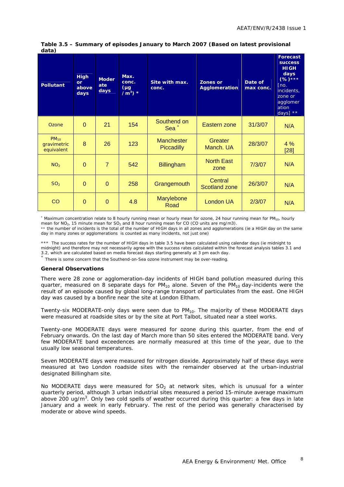| <b>Pollutant</b>                       | <b>High</b><br>or<br>above<br>days | <b>Moder</b><br>ate<br>days | Max.<br>conc.<br>$(\mu g)$<br>/m <sup>3</sup> ) $*$ | Site with max.<br>conc.                | <b>Zones or</b><br><b>Agglomeration</b> | Date of<br>max conc. | <b>Forecast</b><br><b>SUCCESS</b><br><b>HIGH</b><br>days<br>$(%)****$<br>[no.]<br>incidents,<br>zone or<br>agglomer<br>ation<br>days] $**$ |
|----------------------------------------|------------------------------------|-----------------------------|-----------------------------------------------------|----------------------------------------|-----------------------------------------|----------------------|--------------------------------------------------------------------------------------------------------------------------------------------|
| Ozone                                  | $\Omega$                           | 21                          | 154                                                 | Southend on<br>Sea $+$                 | Eastern zone                            | 31/3/07              | N/A                                                                                                                                        |
| $PM_{10}$<br>gravimetric<br>equivalent | 8                                  | 26                          | 123                                                 | <b>Manchester</b><br><b>Piccadilly</b> | Greater<br>Manch. UA                    | 28/3/07              | 4%<br>$[28]$                                                                                                                               |
| NO <sub>2</sub>                        | $\Omega$                           | $\overline{7}$              | 542                                                 | <b>Billingham</b>                      | <b>North East</b><br>zone               | 7/3/07               | N/A                                                                                                                                        |
| SO <sub>2</sub>                        | $\Omega$                           | $\Omega$                    | 258                                                 | Grangemouth                            | Central<br><b>Scotland zone</b>         | 26/3/07              | N/A                                                                                                                                        |
| CO                                     | $\Omega$                           | $\mathbf{0}$                | 4.8                                                 | Marylebone<br>Road                     | London UA                               | 2/3/07               | N/A                                                                                                                                        |

#### **Table 3.5 – Summary of episodes January to March 2007 (Based on latest provisional data)**

\* Maximum concentration relate to 8 hourly running mean or hourly mean for ozone, 24 hour running mean for PM<sub>10</sub>, hourly mean for  $NO<sub>2</sub>$ , 15 minute mean for  $SO<sub>2</sub>$  and 8 hour running mean for CO (CO units are mg/m3).

\*\* the number of incidents is the total of the number of HIGH days in all zones and agglomerations (ie a HIGH day on the same day in many zones or agglomerations is counted as many incidents, not just one)

\*\*\* The success rates for the number of HIGH days in table 3.5 have been calculated using calendar days (ie midnight to midnight) and therefore may not necessarily agree with the success rates calculated within the forecast analysis tables 3.1 and<br>3.2, which are calculated based on media forecast days starting generally at 3 pm each day.

<sup>+</sup> There is some concern that the Southend-on-Sea ozone instrument may be over-reading.

#### **General Observations**

There were 28 zone or agglomeration-day incidents of HIGH band pollution measured during this quarter, measured on 8 separate days for  $PM_{10}$  alone. Seven of the  $PM_{10}$  day-incidents were the result of an episode caused by global long-range transport of particulates from the east. One HIGH day was caused by a bonfire near the site at London Eltham.

Twenty-six MODERATE-only days were seen due to PM<sub>10</sub>. The majority of these MODERATE days were measured at roadside sites or by the site at Port Talbot, situated near a steel works.

Twenty-one MODERATE days were measured for ozone during this quarter, from the end of February onwards. On the last day of March more than 50 sites entered the MODERATE band. Very few MODERATE band exceedences are normally measured at this time of the year, due to the usually low seasonal temperatures.

Seven MODERATE days were measured for nitrogen dioxide. Approximately half of these days were measured at two London roadside sites with the remainder observed at the urban-industrial designated Billingham site.

No MODERATE days were measured for  $SO<sub>2</sub>$  at network sites, which is unusual for a winter quarterly period, although 3 urban industrial sites measured a period 15-minute average maximum above 200 ug/m<sup>3</sup>. Only two cold spells of weather occurred during this quarter: a few days in late January and a week in early February. The rest of the period was generally characterised by moderate or above wind speeds.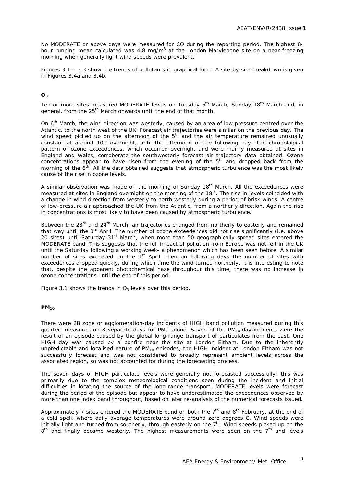No MODERATE or above days were measured for CO during the reporting period. The highest 8 hour running mean calculated was 4.8 mg/m<sup>3</sup> at the London Marylebone site on a near-freezing morning when generally light wind speeds were prevalent.

Figures 3.1 – 3.3 show the trends of pollutants in graphical form. A site-by-site breakdown is given in Figures 3.4a and 3.4b.

#### **O3**

Ten or more sites measured MODERATE levels on Tuesday  $6<sup>th</sup>$  March, Sunday 18<sup>th</sup> March and, in general, from the 25<sup>th</sup> March onwards until the end of that month.

On 6<sup>th</sup> March, the wind direction was westerly, caused by an area of low pressure centred over the Atlantic, to the north west of the UK. Forecast air trajectories were similar on the previous day. The wind speed picked up on the afternoon of the  $5<sup>th</sup>$  and the air temperature remained unusually constant at around 10C overnight, until the afternoon of the following day. The chronological pattern of ozone exceedences, which occurred overnight and were mainly measured at sites in England and Wales, corroborate the southwesterly forecast air trajectory data obtained. Ozone concentrations appear to have risen from the evening of the  $5<sup>th</sup>$  and dropped back from the morning of the  $6<sup>th</sup>$ . All the data obtained suggests that atmospheric turbulence was the most likely cause of the rise in ozone levels.

A similar observation was made on the morning of Sunday 18<sup>th</sup> March. All the exceedences were measured at sites in England overnight on the morning of the  $18<sup>th</sup>$ . The rise in levels coincided with a change in wind direction from westerly to north westerly during a period of brisk winds. A centre of low-pressure air approached the UK from the Atlantic, from a northerly direction. Again the rise in concentrations is most likely to have been caused by atmospheric turbulence.

Between the 23<sup>rd</sup> and 24<sup>th</sup> March, air trajectories changed from northerly to easterly and remained that way until the 3<sup>rd</sup> April. The number of ozone exceedences did not rise significantly (i.e. above 20 sites) until Saturday 31<sup>st</sup> March, when more than 50 geographically spread sites entered the MODERATE band. This suggests that the full impact of pollution from Europe was not felt in the UK until the Saturday following a working week- a phenomenon which has been seen before. A similar number of sites exceeded on the 1<sup>st</sup> April, then on following days the number of sites with exceedences dropped quickly, during which time the wind turned northerly. It is interesting to note that, despite the apparent photochemical haze throughout this time, there was no increase in ozone concentrations until the end of this period.

Figure 3.1 shows the trends in  $O_3$  levels over this period.

#### **PM10**

There were 28 zone or agglomeration-day incidents of HIGH band pollution measured during this quarter, measured on 8 separate days for  $PM_{10}$  alone. Seven of the  $PM_{10}$  day-incidents were the result of an episode caused by the global long-range transport of particulates from the east. One HIGH day was caused by a bonfire near the site at London Eltham. Due to the inherently unpredictable and localised nature of  $PM_{10}$  episodes, the HIGH incident at London Eltham was not successfully forecast and was not considered to broadly represent ambient levels across the associated region, so was not accounted for during the forecasting process.

The seven days of HIGH particulate levels were generally not forecasted successfully; this was primarily due to the complex meteorological conditions seen during the incident and initial difficulties in locating the source of the long-range transport. MODERATE levels were forecast during the period of the episode but appear to have underestimated the exceedences observed by more than one index band throughout, based on later re-analysis of the numerical forecasts issued.

Approximately 7 sites entered the MODERATE band on both the  $7<sup>th</sup>$  and  $8<sup>th</sup>$  February, at the end of a cold spell, where daily average temperatures were around zero degrees C. Wind speeds were initially light and turned from southerly, through easterly on the  $7<sup>th</sup>$ . Wind speeds picked up on the  $8<sup>th</sup>$  and finally became westerly. The highest measurements were seen on the  $7<sup>th</sup>$  and levels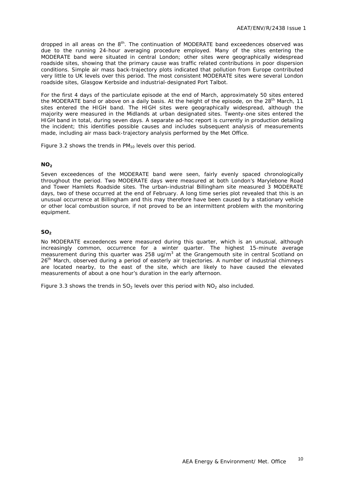dropped in all areas on the 8<sup>th</sup>. The continuation of MODERATE band exceedences observed was due to the running 24-hour averaging procedure employed. Many of the sites entering the MODERATE band were situated in central London; other sites were geographically widespread roadside sites, showing that the primary cause was traffic related contributions in poor dispersion conditions. Simple air mass back-trajectory plots indicated that pollution from Europe contributed very little to UK levels over this period. The most consistent MODERATE sites were several London roadside sites, Glasgow Kerbside and industrial-designated Port Talbot.

For the first 4 days of the particulate episode at the end of March, approximately 50 sites entered the MODERATE band or above on a daily basis. At the height of the episode, on the 28<sup>th</sup> March, 11 sites entered the HIGH band. The HIGH sites were geographically widespread, although the majority were measured in the Midlands at urban designated sites. Twenty-one sites entered the HIGH band in total, during seven days. A separate ad-hoc report is currently in production detailing the incident; this identifies possible causes and includes subsequent analysis of measurements made, including air mass back-trajectory analysis performed by the Met Office.

Figure 3.2 shows the trends in  $PM_{10}$  levels over this period.

#### **NO<sub>2</sub>**

Seven exceedences of the MODERATE band were seen, fairly evenly spaced chronologically throughout the period. Two MODERATE days were measured at both London's Marylebone Road and Tower Hamlets Roadside sites. The urban-industrial Billingham site measured 3 MODERATE days, two of these occurred at the end of February. A long time series plot revealed that this is an unusual occurrence at Billingham and this may therefore have been caused by a stationary vehicle or other local combustion source, if not proved to be an intermittent problem with the monitoring equipment.

#### **SO2**

No MODERATE exceedences were measured during this quarter, which is an unusual, although increasingly common, occurrence for a winter quarter. The highest 15-minute average measurement during this quarter was 258 ug/m<sup>3</sup> at the Grangemouth site in central Scotland on 26<sup>th</sup> March, observed during a period of easterly air trajectories. A number of industrial chimneys are located nearby, to the east of the site, which are likely to have caused the elevated measurements of about a one hour's duration in the early afternoon.

Figure 3.3 shows the trends in  $SO<sub>2</sub>$  levels over this period with  $NO<sub>2</sub>$  also included.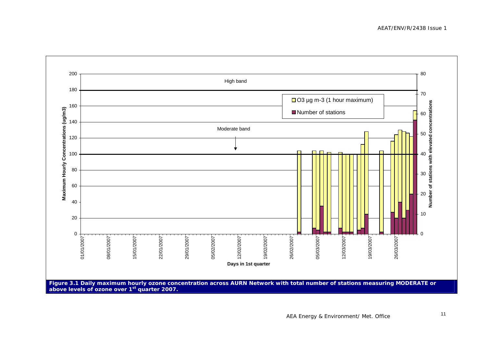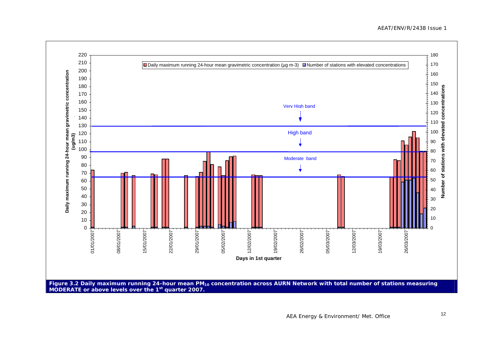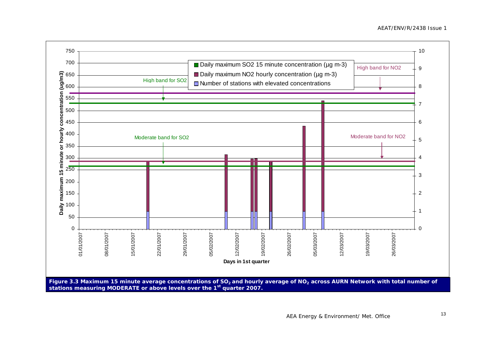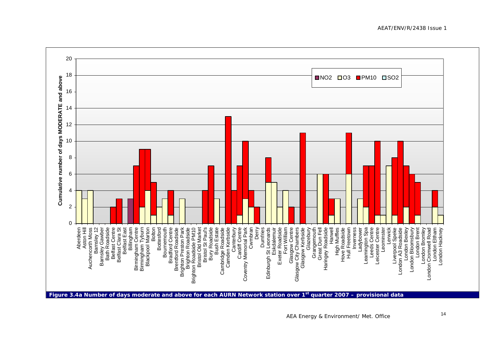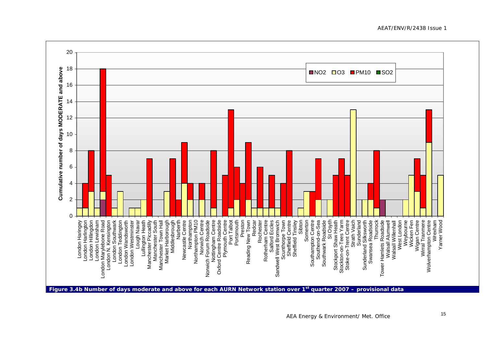AEAT/ENV/R/2438 Issue 1

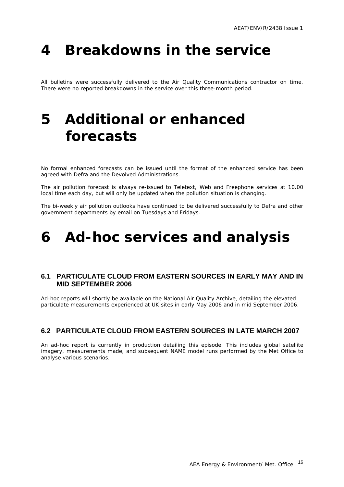# <span id="page-18-0"></span>**4 Breakdowns in the service**

All bulletins were successfully delivered to the Air Quality Communications contractor on time. There were no reported breakdowns in the service over this three-month period.

# **5 Additional or enhanced forecasts**

No formal enhanced forecasts can be issued until the format of the enhanced service has been agreed with Defra and the Devolved Administrations.

The air pollution forecast is always re-issued to Teletext, Web and Freephone services at 10.00 local time each day, but will only be updated when the pollution situation is changing.

The bi-weekly air pollution outlooks have continued to be delivered successfully to Defra and other government departments by email on Tuesdays and Fridays.

## **6 Ad-hoc services and analysis**

#### **6.1 PARTICULATE CLOUD FROM EASTERN SOURCES IN EARLY MAY AND IN MID SEPTEMBER 2006**

Ad-hoc reports will shortly be available on the National Air Quality Archive, detailing the elevated particulate measurements experienced at UK sites in early May 2006 and in mid September 2006.

#### **6.2 PARTICULATE CLOUD FROM EASTERN SOURCES IN LATE MARCH 2007**

An ad-hoc report is currently in production detailing this episode. This includes global satellite imagery, measurements made, and subsequent NAME model runs performed by the Met Office to analyse various scenarios.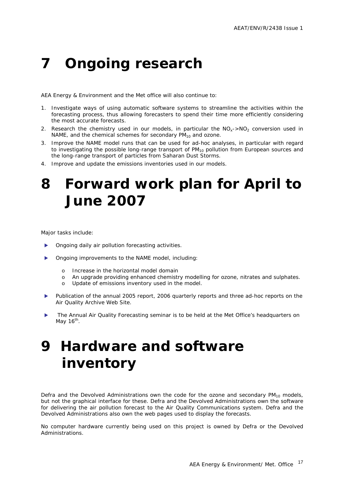# <span id="page-19-0"></span>**7 Ongoing research**

AEA Energy & Environment and the Met office will also continue to:

- 1. Investigate ways of using automatic software systems to streamline the activities within the forecasting process, thus allowing forecasters to spend their time more efficiently considering the most accurate forecasts.
- 2. Research the chemistry used in our models, in particular the  $NO<sub>x</sub>$ -NO<sub>2</sub> conversion used in NAME, and the chemical schemes for secondary  $PM_{10}$  and ozone.
- 3. Improve the NAME model runs that can be used for ad-hoc analyses, in particular with regard to investigating the possible long-range transport of  $PM_{10}$  pollution from European sources and the long-range transport of particles from Saharan Dust Storms.
- 4. Improve and update the emissions inventories used in our models.

## **8 Forward work plan for April to June 2007**

Major tasks include:

- Ongoing daily air pollution forecasting activities.
- Ongoing improvements to the NAME model, including:
	- o Increase in the horizontal model domain
	- o An upgrade providing enhanced chemistry modelling for ozone, nitrates and sulphates.
	- o Update of emissions inventory used in the model.
- Publication of the annual 2005 report, 2006 quarterly reports and three ad-hoc reports on the Air Quality Archive Web Site.
- The Annual Air Quality Forecasting seminar is to be held at the Met Office's headquarters on May  $16<sup>th</sup>$ .

# **9 Hardware and software inventory**

Defra and the Devolved Administrations own the code for the ozone and secondary  $PM_{10}$  models, but not the graphical interface for these. Defra and the Devolved Administrations own the software for delivering the air pollution forecast to the Air Quality Communications system. Defra and the Devolved Administrations also own the web pages used to display the forecasts.

No computer hardware currently being used on this project is owned by Defra or the Devolved Administrations.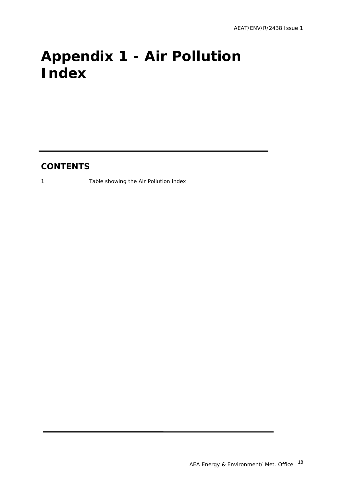# <span id="page-20-0"></span>**Appendix 1 - Air Pollution Index**

### **CONTENTS**

1 Table showing the Air Pollution index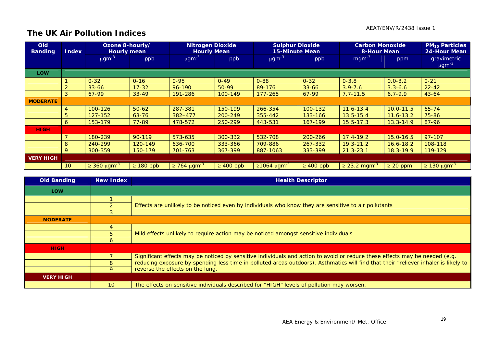#### AEAT/ENV/R/2438 Issue 1

### **The UK Air Pollution Indices**

| <b>Old</b><br><b>Banding</b> | <b>Index</b>    | Ozone 8-hourly/<br><b>Hourly mean</b> |                | <b>Nitrogen Dioxide</b><br><b>Hourly Mean</b> |                | <b>Sulphur Dioxide</b><br><b>15-Minute Mean</b> |                | <b>Carbon Monoxide</b><br><b>8-Hour Mean</b> |               | <b>PM<sub>10</sub> Particles</b><br>24-Hour Mean |
|------------------------------|-----------------|---------------------------------------|----------------|-----------------------------------------------|----------------|-------------------------------------------------|----------------|----------------------------------------------|---------------|--------------------------------------------------|
|                              |                 | $\mu$ gm <sup>-3</sup>                | ppb            | $\mu$ gm <sup>-3</sup>                        | ppb            | $\mu$ gm <sup>-3</sup>                          | ppb            | $mgm^{-3}$                                   | ppm           | gravimetric<br>$\mu$ gm <sup>-3</sup>            |
| <b>LOW</b>                   |                 |                                       |                |                                               |                |                                                 |                |                                              |               |                                                  |
|                              |                 | $0 - 32$                              | $0 - 16$       | $0 - 95$                                      | $0 - 49$       | $0 - 88$                                        | $0 - 32$       | $0 - 3.8$                                    | $0.0 - 3.2$   | $0 - 21$                                         |
|                              | $\sim$          | $33 - 66$                             | $17 - 32$      | 96-190                                        | 50-99          | 89-176                                          | $33 - 66$      | $3.9 - 7.6$                                  | $3.3 - 6.6$   | $22 - 42$                                        |
|                              | 3               | 67-99                                 | $33 - 49$      | 191-286                                       | 100-149        | $177 - 265$                                     | 67-99          | $7.7 - 11.5$                                 | $6.7 - 9.9$   | $43 - 64$                                        |
| <b>MODERATE</b>              |                 |                                       |                |                                               |                |                                                 |                |                                              |               |                                                  |
|                              | 4               | 100-126                               | $50 - 62$      | 287-381                                       | 150-199        | 266-354                                         | 100-132        | $11.6 - 13.4$                                | $10.0 - 11.5$ | $65 - 74$                                        |
|                              | 5               | 127-152                               | $63 - 76$      | 382-477                                       | 200-249        | 355-442                                         | 133-166        | $13.5 - 15.4$                                | $11.6 - 13.2$ | 75-86                                            |
|                              | <sub>6</sub>    | 153-179                               | $77 - 89$      | 478-572                                       | 250-299        | 443-531                                         | 167-199        | $15.5 - 17.3$                                | $13.3 - 14.9$ | 87-96                                            |
| <b>HIGH</b>                  |                 |                                       |                |                                               |                |                                                 |                |                                              |               |                                                  |
|                              |                 | 180-239                               | 90-119         | 573-635                                       | 300-332        | 532-708                                         | 200-266        | $17.4 - 19.2$                                | $15.0 - 16.5$ | 97-107                                           |
|                              | 8               | 240-299                               | 120-149        | 636-700                                       | 333-366        | 709-886                                         | 267-332        | $19.3 - 21.2$                                | $16.6 - 18.2$ | 108-118                                          |
|                              | 9               | 300-359                               | 150-179        | 701-763                                       | 367-399        | 887-1063                                        | 333-399        | $21.3 - 23.1$                                | $18.3 - 19.9$ | 119-129                                          |
| <b>VERY HIGH</b>             |                 |                                       |                |                                               |                |                                                 |                |                                              |               |                                                  |
|                              | 10 <sup>°</sup> | $\geq$ 360 µgm <sup>-3</sup>          | $\geq 180$ ppb | $\geq$ 764 μgm <sup>-3</sup>                  | $\geq 400$ ppb | $≥1064 \mu g m-3$                               | $\geq 400$ ppb | $\geq$ 23.2 mgm <sup>-3</sup>                | $\geq 20$ ppm | $\geq$ 130 μgm <sup>-3</sup>                     |

| <b>Old Banding</b> | New Index    | <b>Health Descriptor</b>                                                                                                            |  |  |  |  |  |  |
|--------------------|--------------|-------------------------------------------------------------------------------------------------------------------------------------|--|--|--|--|--|--|
| <b>LOW</b>         |              |                                                                                                                                     |  |  |  |  |  |  |
|                    |              |                                                                                                                                     |  |  |  |  |  |  |
|                    |              | Effects are unlikely to be noticed even by individuals who know they are sensitive to air pollutants                                |  |  |  |  |  |  |
|                    |              |                                                                                                                                     |  |  |  |  |  |  |
| <b>MODERATE</b>    |              |                                                                                                                                     |  |  |  |  |  |  |
|                    |              |                                                                                                                                     |  |  |  |  |  |  |
|                    | 5.           | Mild effects unlikely to require action may be noticed amongst sensitive individuals                                                |  |  |  |  |  |  |
|                    | 6            |                                                                                                                                     |  |  |  |  |  |  |
| <b>HIGH</b>        |              |                                                                                                                                     |  |  |  |  |  |  |
|                    |              | Significant effects may be noticed by sensitive individuals and action to avoid or reduce these effects may be needed (e.g.         |  |  |  |  |  |  |
|                    | 8            | reducing exposure by spending less time in polluted areas outdoors). Asthmatics will find that their "reliever inhaler is likely to |  |  |  |  |  |  |
|                    | $\mathsf{Q}$ | reverse the effects on the lung.                                                                                                    |  |  |  |  |  |  |
| <b>VERY HIGH</b>   |              |                                                                                                                                     |  |  |  |  |  |  |
|                    | 10           | The effects on sensitive individuals described for "HIGH" levels of pollution may worsen.                                           |  |  |  |  |  |  |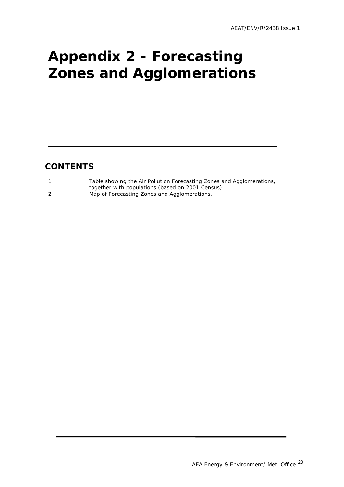# <span id="page-22-0"></span>**Appendix 2 - Forecasting Zones and Agglomerations**

### **CONTENTS**

| Table showing the Air Pollution Forecasting Zones and Agglomerations, |
|-----------------------------------------------------------------------|
| together with populations (based on 2001 Census).                     |
| Map of Forecasting Zones and Agglomerations.                          |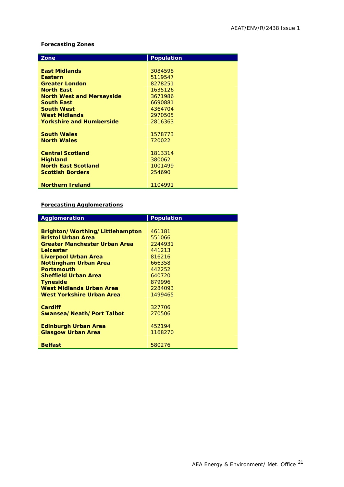#### **Forecasting Zones**

| Zone                             | <b>Population</b> |
|----------------------------------|-------------------|
|                                  |                   |
| <b>East Midlands</b>             | 3084598           |
| <b>Eastern</b>                   | 5119547           |
| <b>Greater London</b>            | 8278251           |
| <b>North East</b>                | 1635126           |
| <b>North West and Merseyside</b> | 3671986           |
| <b>South East</b>                | 6690881           |
| <b>South West</b>                | 4364704           |
| <b>West Midlands</b>             | 2970505           |
| <b>Yorkshire and Humberside</b>  | 2816363           |
|                                  |                   |
| <b>South Wales</b>               | 1578773           |
| <b>North Wales</b>               | 720022            |
|                                  |                   |
| <b>Central Scotland</b>          | 1813314           |
| <b>Highland</b>                  | 380062            |
| <b>North East Scotland</b>       | 1001499           |
| <b>Scottish Borders</b>          | 254690            |
|                                  |                   |
| <b>Northern Ireland</b>          | 1104991           |

#### **Forecasting Agglomerations**

| Agglomeration                        | <b>Population</b> |
|--------------------------------------|-------------------|
|                                      |                   |
| Brighton/Worthing/Littlehampton      | 461181            |
| <b>Bristol Urban Area</b>            | 551066            |
| <b>Greater Manchester Urban Area</b> | 2244931           |
| Leicester                            | 441213            |
| Liverpool Urban Area                 | 816216            |
| <b>Nottingham Urban Area</b>         | 666358            |
| <b>Portsmouth</b>                    | 442252            |
| <b>Sheffield Urban Area</b>          | 640720            |
| <b>Tyneside</b>                      | 879996            |
| West Midlands Urban Area             | 2284093           |
| West Yorkshire Urban Area            | 1499465           |
|                                      |                   |
| Cardiff                              | 327706            |
| Swansea/Neath/Port Talbot            | 270506            |
|                                      |                   |
| <b>Edinburgh Urban Area</b>          | 452194            |
| <b>Glasgow Urban Area</b>            | 1168270           |
|                                      |                   |
| <b>Belfast</b>                       | 580276            |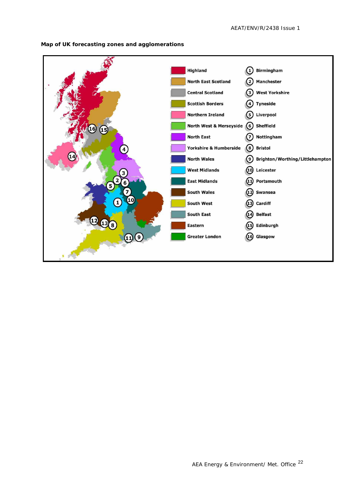

**Map of UK forecasting zones and agglomerations**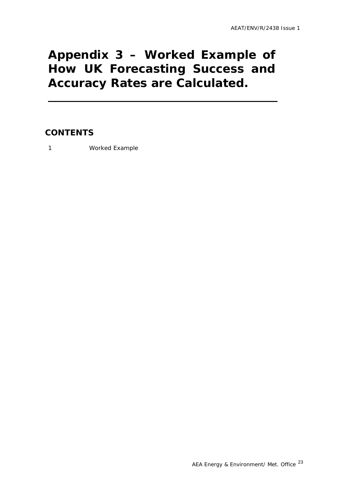## <span id="page-25-0"></span>**Appendix 3 – Worked Example of How UK Forecasting Success and Accuracy Rates are Calculated.**

### **CONTENTS**

1 Worked Example